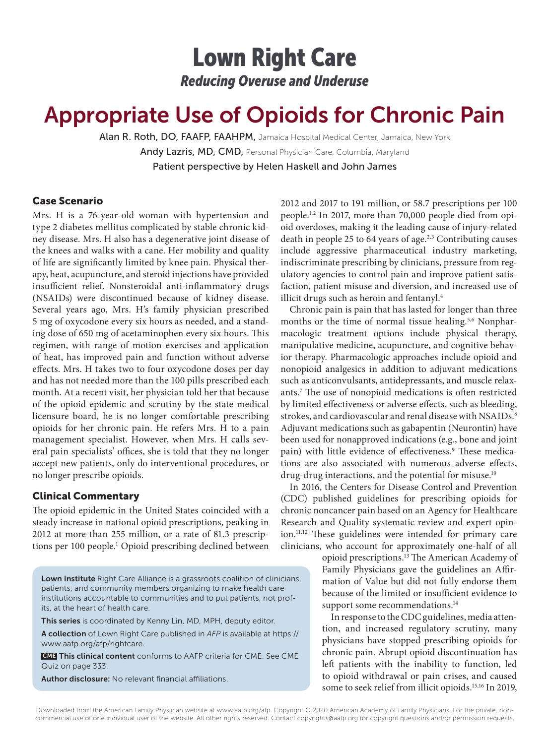## Lown Right Care *Reducing Overuse and Underuse*

# Appropriate Use of Opioids for Chronic Pain

Alan R. Roth, DO, FAAFP, FAAHPM, Jamaica Hospital Medical Center, Jamaica, New York Andy Lazris, MD, CMD, Personal Physician Care, Columbia, Maryland Patient perspective by Helen Haskell and John James

#### Case Scenario

Mrs. H is a 76-year-old woman with hypertension and type 2 diabetes mellitus complicated by stable chronic kidney disease. Mrs. H also has a degenerative joint disease of the knees and walks with a cane. Her mobility and quality of life are significantly limited by knee pain. Physical therapy, heat, acupuncture, and steroid injections have provided insufficient relief. Nonsteroidal anti-inflammatory drugs (NSAIDs) were discontinued because of kidney disease. Several years ago, Mrs. H's family physician prescribed 5 mg of oxycodone every six hours as needed, and a standing dose of 650 mg of acetaminophen every six hours. This regimen, with range of motion exercises and application of heat, has improved pain and function without adverse effects. Mrs. H takes two to four oxycodone doses per day and has not needed more than the 100 pills prescribed each month. At a recent visit, her physician told her that because of the opioid epidemic and scrutiny by the state medical licensure board, he is no longer comfortable prescribing opioids for her chronic pain. He refers Mrs. H to a pain management specialist. However, when Mrs. H calls several pain specialists' offices, she is told that they no longer accept new patients, only do interventional procedures, or no longer prescribe opioids.

#### Clinical Commentary

The opioid epidemic in the United States coincided with a steady increase in national opioid prescriptions, peaking in 2012 at more than 255 million, or a rate of 81.3 prescriptions per 100 people.<sup>1</sup> Opioid prescribing declined between

Lown Institute Right Care Alliance is a grassroots coalition of clinicians, patients, and community members organizing to make health care institutions accountable to communities and to put patients, not profits, at the heart of health care.

This series is coordinated by Kenny Lin, MD, MPH, deputy editor.

A collection of Lown Right Care published in *AFP* is available at https:// www.aafp.org/afp/rightcare.

 CME This clinical content conforms to AAFP criteria for CME. See CME Quiz on page 333.

Author disclosure: No relevant financial affiliations.

2012 and 2017 to 191 million, or 58.7 prescriptions per 100 people.1,2 In 2017, more than 70,000 people died from opioid overdoses, making it the leading cause of injury-related death in people 25 to 64 years of age.<sup>2,3</sup> Contributing causes include aggressive pharmaceutical industry marketing, indiscriminate prescribing by clinicians, pressure from regulatory agencies to control pain and improve patient satisfaction, patient misuse and diversion, and increased use of illicit drugs such as heroin and fentanyl.<sup>4</sup>

Chronic pain is pain that has lasted for longer than three months or the time of normal tissue healing.<sup>5,6</sup> Nonpharmacologic treatment options include physical therapy, manipulative medicine, acupuncture, and cognitive behavior therapy. Pharmacologic approaches include opioid and nonopioid analgesics in addition to adjuvant medications such as anticonvulsants, antidepressants, and muscle relaxants.7 The use of nonopioid medications is often restricted by limited effectiveness or adverse effects, such as bleeding, strokes, and cardiovascular and renal disease with NSAIDs.<sup>8</sup> Adjuvant medications such as gabapentin (Neurontin) have been used for nonapproved indications (e.g., bone and joint pain) with little evidence of effectiveness.<sup>9</sup> These medications are also associated with numerous adverse effects, drug-drug interactions, and the potential for misuse.<sup>10</sup>

In 2016, the Centers for Disease Control and Prevention (CDC) published guidelines for prescribing opioids for chronic noncancer pain based on an Agency for Healthcare Research and Quality systematic review and expert opinion.11,12 These guidelines were intended for primary care clinicians, who account for approximately one-half of all

> opioid prescriptions.13 The American Academy of Family Physicians gave the guidelines an Affirmation of Value but did not fully endorse them because of the limited or insufficient evidence to support some recommendations.<sup>14</sup>

> In response to the CDC guidelines, media attention, and increased regulatory scrutiny, many physicians have stopped prescribing opioids for chronic pain. Abrupt opioid discontinuation has left patients with the inability to function, led to opioid withdrawal or pain crises, and caused some to seek relief from illicit opioids.15,16 In 2019,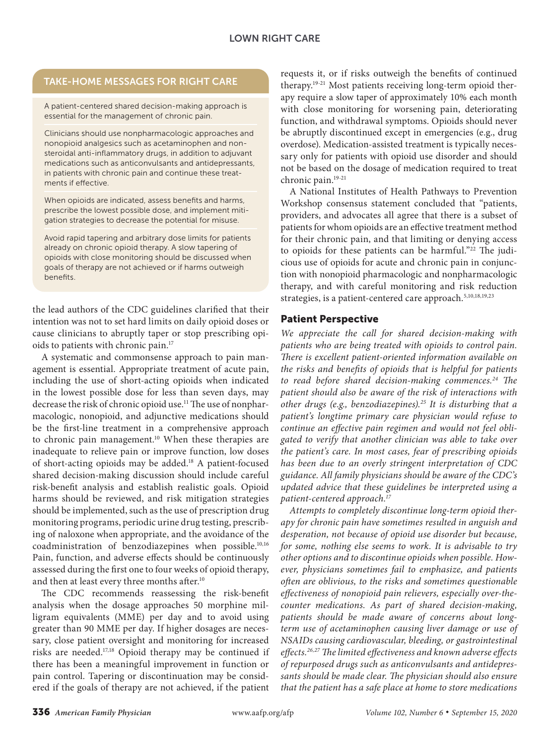### TAKE-HOME MESSAGES FOR RIGHT CARE

A patient-centered shared decision-making approach is essential for the management of chronic pain.

Clinicians should use nonpharmacologic approaches and nonopioid analgesics such as acetaminophen and nonsteroidal anti-inflammatory drugs, in addition to adjuvant medications such as anticonvulsants and antidepressants, in patients with chronic pain and continue these treatments if effective.

When opioids are indicated, assess benefits and harms, prescribe the lowest possible dose, and implement mitigation strategies to decrease the potential for misuse.

Avoid rapid tapering and arbitrary dose limits for patients already on chronic opioid therapy. A slow tapering of opioids with close monitoring should be discussed when goals of therapy are not achieved or if harms outweigh benefits.

the lead authors of the CDC guidelines clarified that their intention was not to set hard limits on daily opioid doses or cause clinicians to abruptly taper or stop prescribing opioids to patients with chronic pain.17

A systematic and commonsense approach to pain management is essential. Appropriate treatment of acute pain, including the use of short-acting opioids when indicated in the lowest possible dose for less than seven days, may decrease the risk of chronic opioid use.<sup>11</sup> The use of nonpharmacologic, nonopioid, and adjunctive medications should be the first-line treatment in a comprehensive approach to chronic pain management.<sup>10</sup> When these therapies are inadequate to relieve pain or improve function, low doses of short-acting opioids may be added.18 A patient-focused shared decision-making discussion should include careful risk-benefit analysis and establish realistic goals. Opioid harms should be reviewed, and risk mitigation strategies should be implemented, such as the use of prescription drug monitoring programs, periodic urine drug testing, prescribing of naloxone when appropriate, and the avoidance of the coadministration of benzodiazepines when possible.10,16 Pain, function, and adverse effects should be continuously assessed during the first one to four weeks of opioid therapy, and then at least every three months after.<sup>10</sup>

The CDC recommends reassessing the risk-benefit analysis when the dosage approaches 50 morphine milligram equivalents (MME) per day and to avoid using greater than 90 MME per day. If higher dosages are necessary, close patient oversight and monitoring for increased risks are needed.17,18 Opioid therapy may be continued if there has been a meaningful improvement in function or pain control. Tapering or discontinuation may be considered if the goals of therapy are not achieved, if the patient

requests it, or if risks outweigh the benefits of continued therapy.19-21 Most patients receiving long-term opioid therapy require a slow taper of approximately 10% each month with close monitoring for worsening pain, deteriorating function, and withdrawal symptoms. Opioids should never be abruptly discontinued except in emergencies (e.g., drug overdose). Medication-assisted treatment is typically necessary only for patients with opioid use disorder and should not be based on the dosage of medication required to treat chronic pain.19-21

A National Institutes of Health Pathways to Prevention Workshop consensus statement concluded that "patients, providers, and advocates all agree that there is a subset of patients for whom opioids are an effective treatment method for their chronic pain, and that limiting or denying access to opioids for these patients can be harmful."<sup>22</sup> The judicious use of opioids for acute and chronic pain in conjunction with nonopioid pharmacologic and nonpharmacologic therapy, and with careful monitoring and risk reduction strategies, is a patient-centered care approach.<sup>5,10,18,19,23</sup>

#### Patient Perspective

*We appreciate the call for shared decision-making with patients who are being treated with opioids to control pain. There is excellent patient-oriented information available on the risks and benefits of opioids that is helpful for patients to read before shared decision-making commences.24 The patient should also be aware of the risk of interactions with other drugs (e.g., benzodiazepines).25 It is disturbing that a patient's longtime primary care physician would refuse to continue an effective pain regimen and would not feel obligated to verify that another clinician was able to take over the patient's care. In most cases, fear of prescribing opioids has been due to an overly stringent interpretation of CDC guidance. All family physicians should be aware of the CDC's updated advice that these guidelines be interpreted using a patient-centered approach.17*

*Attempts to completely discontinue long-term opioid therapy for chronic pain have sometimes resulted in anguish and desperation, not because of opioid use disorder but because, for some, nothing else seems to work. It is advisable to try other options and to discontinue opioids when possible. However, physicians sometimes fail to emphasize, and patients often are oblivious, to the risks and sometimes questionable effectiveness of nonopioid pain relievers, especially over-thecounter medications. As part of shared decision-making, patients should be made aware of concerns about longterm use of acetaminophen causing liver damage or use of NSAIDs causing cardiovascular, bleeding, or gastrointestinal effects.26,27 The limited effectiveness and known adverse effects of repurposed drugs such as anticonvulsants and antidepressants should be made clear. The physician should also ensure that the patient has a safe place at home to store medications*